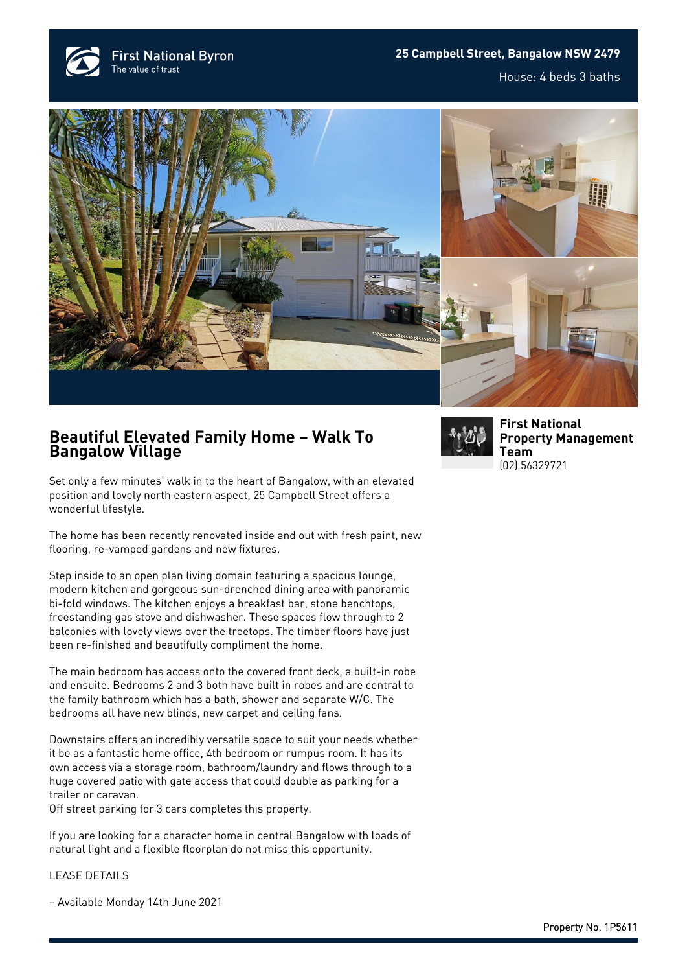**First National Byron** The value of trust

## **25 Campbell Street, Bangalow NSW 2479**

House: 4 beds 3 baths







## **Beautiful Elevated Family Home – Walk To Bangalow Village**

Set only a few minutes' walk in to the heart of Bangalow, with an elevated position and lovely north eastern aspect, 25 Campbell Street offers a wonderful lifestyle.

The home has been recently renovated inside and out with fresh paint, new flooring, re-vamped gardens and new fixtures.

Step inside to an open plan living domain featuring a spacious lounge, modern kitchen and gorgeous sun-drenched dining area with panoramic bi-fold windows. The kitchen enjoys a breakfast bar, stone benchtops, freestanding gas stove and dishwasher. These spaces flow through to 2 balconies with lovely views over the treetops. The timber floors have just been re-finished and beautifully compliment the home.

The main bedroom has access onto the covered front deck, a built-in robe and ensuite. Bedrooms 2 and 3 both have built in robes and are central to the family bathroom which has a bath, shower and separate W/C. The bedrooms all have new blinds, new carpet and ceiling fans.

Downstairs offers an incredibly versatile space to suit your needs whether it be as a fantastic home office, 4th bedroom or rumpus room. It has its own access via a storage room, bathroom/laundry and flows through to a huge covered patio with gate access that could double as parking for a trailer or caravan.

Off street parking for 3 cars completes this property.

If you are looking for a character home in central Bangalow with loads of natural light and a flexible floorplan do not miss this opportunity.

LEASE DETAILS

– Available Monday 14th June 2021



**[First National](https://www.byronbayfn.com.au/agents/first-national-property-management-team/) [Property Management](https://www.byronbayfn.com.au/agents/first-national-property-management-team/) [Team](https://www.byronbayfn.com.au/agents/first-national-property-management-team/)** [\(02\) 56329721](#page--1-0)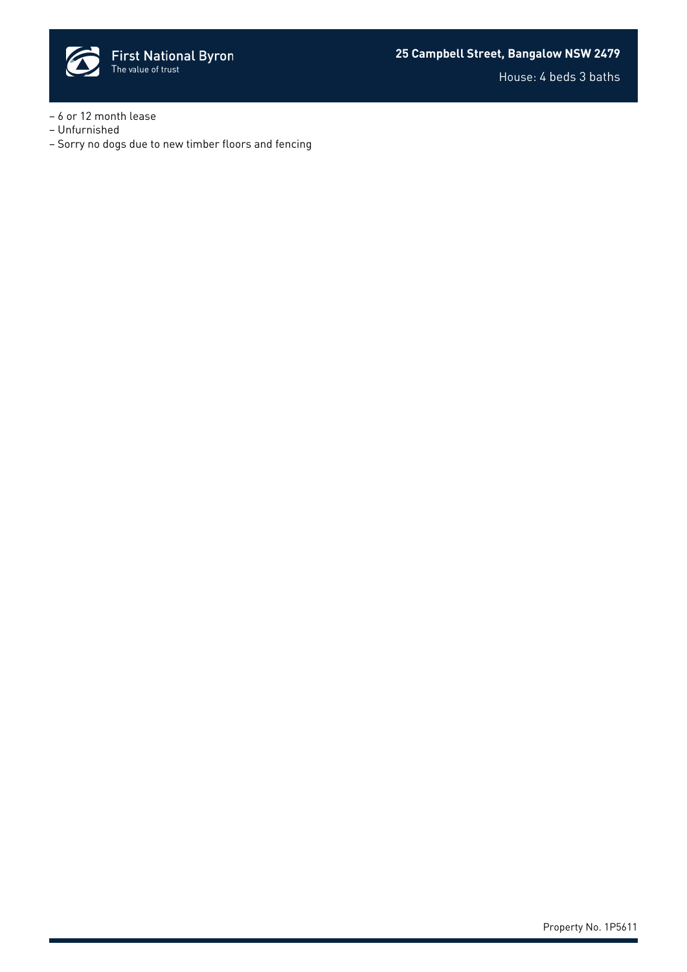

- 6 or 12 month lease
- Unfurnished
- Sorry no dogs due to new timber floors and fencing